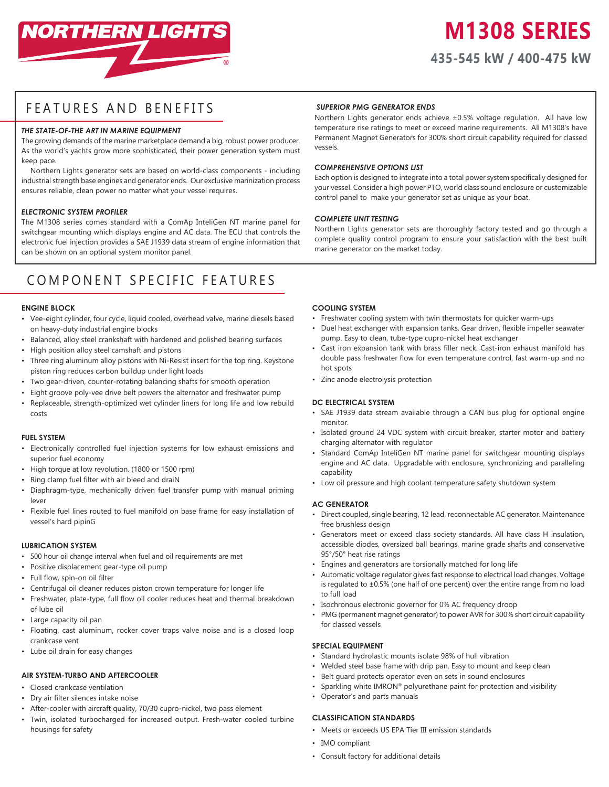

# **M1308 SERIES 435-545 kW / 400-475 kW**

# FEATURES AND BENEFITS

#### *THE STATE-OF-THE ART IN MARINE EQUIPMENT*

The growing demands of the marine marketplace demand a big, robust power producer. As the world's yachts grow more sophisticated, their power generation system must keep pace.

Northern Lights generator sets are based on world-class components - including industrial strength base engines and generator ends. Our exclusive marinization process ensures reliable, clean power no matter what your vessel requires.

#### *ELECTRONIC SYSTEM PROFILER*

The M1308 series comes standard with a ComAp InteliGen NT marine panel for switchgear mounting which displays engine and AC data. The ECU that controls the electronic fuel injection provides a SAE J1939 data stream of engine information that can be shown on an optional system monitor panel.

# COMPONENT SPECIFIC FEATURES

### **ENGINE BLOCK**

- Vee-eight cylinder, four cycle, liquid cooled, overhead valve, marine diesels based on heavy-duty industrial engine blocks
- Balanced, alloy steel crankshaft with hardened and polished bearing surfaces
- High position alloy steel camshaft and pistons
- Three ring aluminum alloy pistons with Ni-Resist insert for the top ring. Keystone piston ring reduces carbon buildup under light loads
- Two gear-driven, counter-rotating balancing shafts for smooth operation
- Eight groove poly-vee drive belt powers the alternator and freshwater pump
- Replaceable, strength-optimized wet cylinder liners for long life and low rebuild costs

#### **FUEL SYSTEM**

- Electronically controlled fuel injection systems for low exhaust emissions and superior fuel economy
- High torque at low revolution. (1800 or 1500 rpm)
- Ring clamp fuel filter with air bleed and draiN
- Diaphragm-type, mechanically driven fuel transfer pump with manual priming lever
- Flexible fuel lines routed to fuel manifold on base frame for easy installation of vessel's hard pipinG

#### **LUBRICATION SYSTEM**

- 500 hour oil change interval when fuel and oil requirements are met
- Positive displacement gear-type oil pump
- Full flow, spin-on oil filter
- Centrifugal oil cleaner reduces piston crown temperature for longer life
- Freshwater, plate-type, full flow oil cooler reduces heat and thermal breakdown of lube oil
- Large capacity oil pan
- Floating, cast aluminum, rocker cover traps valve noise and is a closed loop crankcase vent
- Lube oil drain for easy changes

### **AIR SYSTEM-TURBO AND AFTERCOOLER**

- Closed crankcase ventilation
- Dry air filter silences intake noise
- After-cooler with aircraft quality, 70/30 cupro-nickel, two pass element
- Twin, isolated turbocharged for increased output. Fresh-water cooled turbine housings for safety

#### *SUPERIOR PMG GENERATOR ENDS*

Northern Lights generator ends achieve ±0.5% voltage regulation. All have low temperature rise ratings to meet or exceed marine requirements. All M1308's have Permanent Magnet Generators for 300% short circuit capability required for classed vessels.

#### *COMPREHENSIVE OPTIONS LIST*

Each option is designed to integrate into a total power system specifically designed for your vessel. Consider a high power PTO, world class sound enclosure or customizable control panel to make your generator set as unique as your boat.

## *COMPLETE UNIT TESTING*

Northern Lights generator sets are thoroughly factory tested and go through a complete quality control program to ensure your satisfaction with the best built marine generator on the market today.

### **COOLING SYSTEM**

- Freshwater cooling system with twin thermostats for quicker warm-ups
- Duel heat exchanger with expansion tanks. Gear driven, flexible impeller seawater pump. Easy to clean, tube-type cupro-nickel heat exchanger
- Cast iron expansion tank with brass filler neck. Cast-iron exhaust manifold has double pass freshwater flow for even temperature control, fast warm-up and no hot spots
- Zinc anode electrolysis protection

#### **DC ELECTRICAL SYSTEM**

- SAE J1939 data stream available through a CAN bus plug for optional engine monitor.
- Isolated ground 24 VDC system with circuit breaker, starter motor and battery charging alternator with regulator
- Standard ComAp InteliGen NT marine panel for switchgear mounting displays engine and AC data. Upgradable with enclosure, synchronizing and paralleling capability
- Low oil pressure and high coolant temperature safety shutdown system

#### **AC GENERATOR**

- Direct coupled, single bearing, 12 lead, reconnectable AC generator. Maintenance free brushless design
- Generators meet or exceed class society standards. All have class H insulation, accessible diodes, oversized ball bearings, marine grade shafts and conservative 95°/50° heat rise ratings
- Engines and generators are torsionally matched for long life
- Automatic voltage regulator gives fast response to electrical load changes. Voltage is regulated to  $\pm 0.5\%$  (one half of one percent) over the entire range from no load to full load
- Isochronous electronic governor for 0% AC frequency droop
- PMG (permanent magnet generator) to power AVR for 300% short circuit capability for classed vessels

#### **SPECIAL EQUIPMENT**

- Standard hydrolastic mounts isolate 98% of hull vibration
- Welded steel base frame with drip pan. Easy to mount and keep clean
- Belt guard protects operator even on sets in sound enclosures
- Sparkling white IMRON® polyurethane paint for protection and visibility
- Operator's and parts manuals

#### **CLASSIFICATION STANDARDS**

- Meets or exceeds US EPA Tier III emission standards
- IMO compliant
- Consult factory for additional details